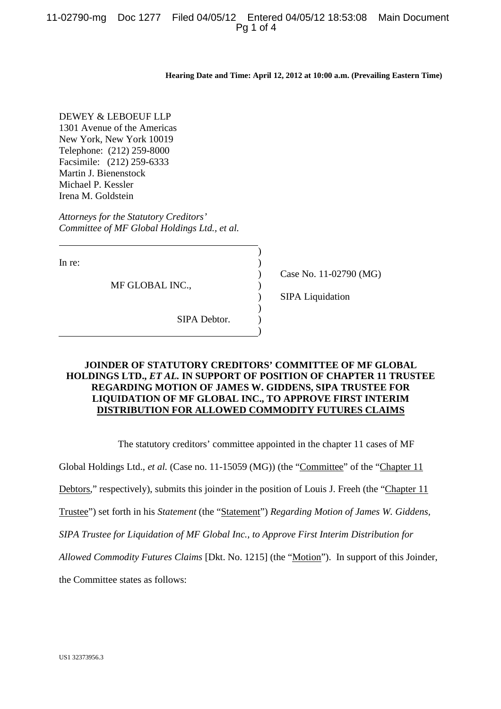# 11-02790-mg Doc 1277 Filed 04/05/12 Entered 04/05/12 18:53:08 Main Document Pg 1 of 4

**Hearing Date and Time: April 12, 2012 at 10:00 a.m. (Prevailing Eastern Time)**

DEWEY & LEBOEUF LLP 1301 Avenue of the Americas New York, New York 10019 Telephone: (212) 259-8000 Facsimile: (212) 259-6333 Martin J. Bienenstock Michael P. Kessler Irena M. Goldstein

*Attorneys for the Statutory Creditors' Committee of MF Global Holdings Ltd., et al.*

In re:

MF GLOBAL INC.,

Case No. 11-02790 (MG)

SIPA Liquidation

SIPA Debtor.

# **JOINDER OF STATUTORY CREDITORS' COMMITTEE OF MF GLOBAL HOLDINGS LTD.,** *ET AL.* **IN SUPPORT OF POSITION OF CHAPTER 11 TRUSTEE REGARDING MOTION OF JAMES W. GIDDENS, SIPA TRUSTEE FOR LIQUIDATION OF MF GLOBAL INC., TO APPROVE FIRST INTERIM DISTRIBUTION FOR ALLOWED COMMODITY FUTURES CLAIMS**

) ) ) ) ) ) ) )

The statutory creditors' committee appointed in the chapter 11 cases of MF

Global Holdings Ltd., *et al.* (Case no. 11-15059 (MG)) (the "Committee" of the "Chapter 11

Debtors," respectively), submits this joinder in the position of Louis J. Freeh (the "Chapter 11

Trustee") set forth in his *Statement* (the "Statement") *Regarding Motion of James W. Giddens,*

*SIPA Trustee for Liquidation of MF Global Inc., to Approve First Interim Distribution for*

*Allowed Commodity Futures Claims* [Dkt. No. 1215] (the "Motion"). In support of this Joinder,

the Committee states as follows: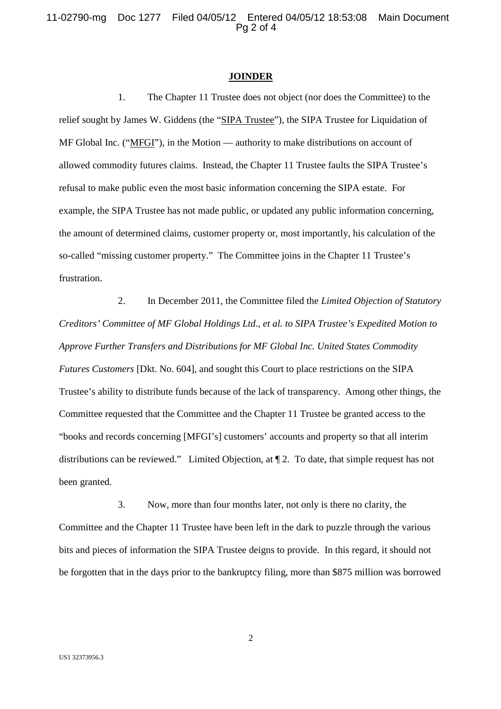11-02790-mg Doc 1277 Filed 04/05/12 Entered 04/05/12 18:53:08 Main Document Pg 2 of 4

### **JOINDER**

1. The Chapter 11 Trustee does not object (nor does the Committee) to the relief sought by James W. Giddens (the "SIPA Trustee"), the SIPA Trustee for Liquidation of MF Global Inc. ("MFGI"), in the Motion — authority to make distributions on account of allowed commodity futures claims. Instead, the Chapter 11 Trustee faults the SIPA Trustee's refusal to make public even the most basic information concerning the SIPA estate. For example, the SIPA Trustee has not made public, or updated any public information concerning, the amount of determined claims, customer property or, most importantly, his calculation of the so-called "missing customer property." The Committee joins in the Chapter 11 Trustee's frustration.

2. In December 2011, the Committee filed the *Limited Objection of Statutory Creditors' Committee of MF Global Holdings Ltd., et al. to SIPA Trustee's Expedited Motion to Approve Further Transfers and Distributions for MF Global Inc. United States Commodity Futures Customers* [Dkt. No. 604], and sought this Court to place restrictions on the SIPA Trustee's ability to distribute funds because of the lack of transparency. Among other things, the Committee requested that the Committee and the Chapter 11 Trustee be granted access to the "books and records concerning [MFGI's] customers' accounts and property so that all interim distributions can be reviewed." Limited Objection, at ¶ 2. To date, that simple request has not been granted.

3. Now, more than four months later, not only is there no clarity, the Committee and the Chapter 11 Trustee have been left in the dark to puzzle through the various bits and pieces of information the SIPA Trustee deigns to provide. In this regard, it should not be forgotten that in the days prior to the bankruptcy filing, more than \$875 million was borrowed

2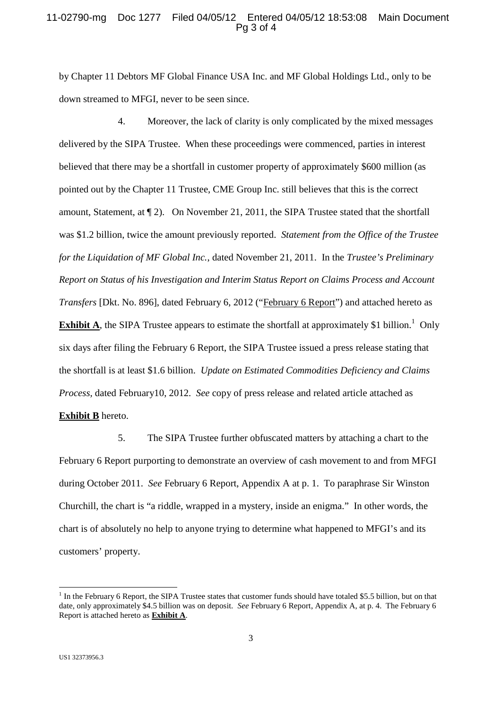### 11-02790-mg Doc 1277 Filed 04/05/12 Entered 04/05/12 18:53:08 Main Document Pg 3 of 4

by Chapter 11 Debtors MF Global Finance USA Inc. and MF Global Holdings Ltd., only to be down streamed to MFGI, never to be seen since.

4. Moreover, the lack of clarity is only complicated by the mixed messages delivered by the SIPA Trustee. When these proceedings were commenced, parties in interest believed that there may be a shortfall in customer property of approximately \$600 million (as pointed out by the Chapter 11 Trustee, CME Group Inc. still believes that this is the correct amount, Statement, at ¶ 2). On November 21, 2011, the SIPA Trustee stated that the shortfall was \$1.2 billion, twice the amount previously reported. *Statement from the Office of the Trustee for the Liquidation of MF Global Inc.*, dated November 21, 2011. In the *Trustee's Preliminary Report on Status of his Investigation and Interim Status Report on Claims Process and Account Transfers* [Dkt. No. 896], dated February 6, 2012 ("February 6 Report") and attached hereto as **Exhibit A**, the SIPA Trustee appears to estimate the shortfall at approximately \$1 billion.<sup>1</sup> Only six days after filing the February 6 Report, the SIPA Trustee issued a press release stating that the shortfall is at least \$1.6 billion. *Update on Estimated Commodities Deficiency and Claims Process,* dated February10, 2012. *See* copy of press release and related article attached as **Exhibit B** hereto.

5. The SIPA Trustee further obfuscated matters by attaching a chart to the February 6 Report purporting to demonstrate an overview of cash movement to and from MFGI during October 2011. *See* February 6 Report, Appendix A at p. 1. To paraphrase Sir Winston Churchill, the chart is "a riddle, wrapped in a mystery, inside an enigma." In other words, the chart is of absolutely no help to anyone trying to determine what happened to MFGI's and its customers' property.

<sup>&</sup>lt;sup>1</sup> In the February 6 Report, the SIPA Trustee states that customer funds should have totaled \$5.5 billion, but on that date, only approximately \$4.5 billion was on deposit. *See* February 6 Report, Appendix A, at p. 4. The February 6 Report is attached hereto as **Exhibit A**.